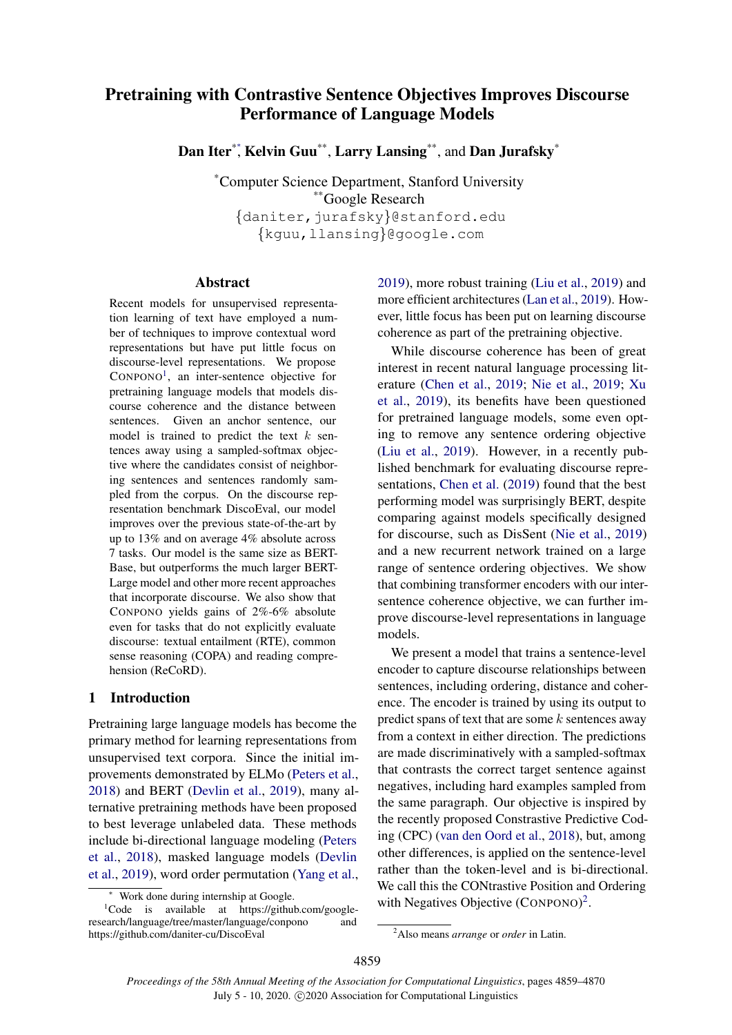# Pretraining with Contrastive Sentence Objectives Improves Discourse Performance of Language Models

Dan Iter<sup>\*\*</sup>, Kelvin Guu<sup>\*\*</sup>, Larry Lansing<sup>\*\*</sup>, and Dan Jurafsky<sup>\*</sup>

\*Computer Science Department, Stanford University \*\*Google Research {daniter,jurafsky}@stanford.edu {kguu,llansing}@google.com

### Abstract

Recent models for unsupervised representation learning of text have employed a number of techniques to improve contextual word representations but have put little focus on discourse-level representations. We propose CONPONO<sup>[1](#page-0-0)</sup>, an inter-sentence objective for pretraining language models that models discourse coherence and the distance between sentences. Given an anchor sentence, our model is trained to predict the text  $k$  sentences away using a sampled-softmax objective where the candidates consist of neighboring sentences and sentences randomly sampled from the corpus. On the discourse representation benchmark DiscoEval, our model improves over the previous state-of-the-art by up to 13% and on average 4% absolute across 7 tasks. Our model is the same size as BERT-Base, but outperforms the much larger BERT-Large model and other more recent approaches that incorporate discourse. We also show that CONPONO yields gains of 2%-6% absolute even for tasks that do not explicitly evaluate discourse: textual entailment (RTE), common sense reasoning (COPA) and reading comprehension (ReCoRD).

## 1 Introduction

Pretraining large language models has become the primary method for learning representations from unsupervised text corpora. Since the initial improvements demonstrated by ELMo [\(Peters et al.,](#page-9-0) [2018\)](#page-9-0) and BERT [\(Devlin et al.,](#page-9-1) [2019\)](#page-9-1), many alternative pretraining methods have been proposed to best leverage unlabeled data. These methods include bi-directional language modeling [\(Peters](#page-9-0) [et al.,](#page-9-0) [2018\)](#page-9-0), masked language models [\(Devlin](#page-9-1) [et al.,](#page-9-1) [2019\)](#page-9-1), word order permutation [\(Yang et al.,](#page-9-2) [2019\)](#page-9-2), more robust training [\(Liu et al.,](#page-9-3) [2019\)](#page-9-3) and more efficient architectures [\(Lan et al.,](#page-9-4) [2019\)](#page-9-4). However, little focus has been put on learning discourse coherence as part of the pretraining objective.

While discourse coherence has been of great interest in recent natural language processing literature [\(Chen et al.,](#page-9-5) [2019;](#page-9-5) [Nie et al.,](#page-9-6) [2019;](#page-9-6) [Xu](#page-9-7) [et al.,](#page-9-7) [2019\)](#page-9-7), its benefits have been questioned for pretrained language models, some even opting to remove any sentence ordering objective [\(Liu et al.,](#page-9-3) [2019\)](#page-9-3). However, in a recently published benchmark for evaluating discourse representations, [Chen et al.](#page-9-5) [\(2019\)](#page-9-5) found that the best performing model was surprisingly BERT, despite comparing against models specifically designed for discourse, such as DisSent [\(Nie et al.,](#page-9-6) [2019\)](#page-9-6) and a new recurrent network trained on a large range of sentence ordering objectives. We show that combining transformer encoders with our intersentence coherence objective, we can further improve discourse-level representations in language models.

We present a model that trains a sentence-level encoder to capture discourse relationships between sentences, including ordering, distance and coherence. The encoder is trained by using its output to predict spans of text that are some  $k$  sentences away from a context in either direction. The predictions are made discriminatively with a sampled-softmax that contrasts the correct target sentence against negatives, including hard examples sampled from the same paragraph. Our objective is inspired by the recently proposed Constrastive Predictive Coding (CPC) [\(van den Oord et al.,](#page-9-8) [2018\)](#page-9-8), but, among other differences, is applied on the sentence-level rather than the token-level and is bi-directional. We call this the CONtrastive Position and Ordering with Negatives Objective (CONPONO)<sup>[2](#page-0-1)</sup>.

<span id="page-0-0"></span><sup>∗</sup> Work done during internship at Google.

<sup>&</sup>lt;sup>1</sup>Code is available at https://github.com/googleresearch/language/tree/master/language/conpono and https://github.com/daniter-cu/DiscoEval

<span id="page-0-1"></span><sup>2</sup>Also means *arrange* or *order* in Latin.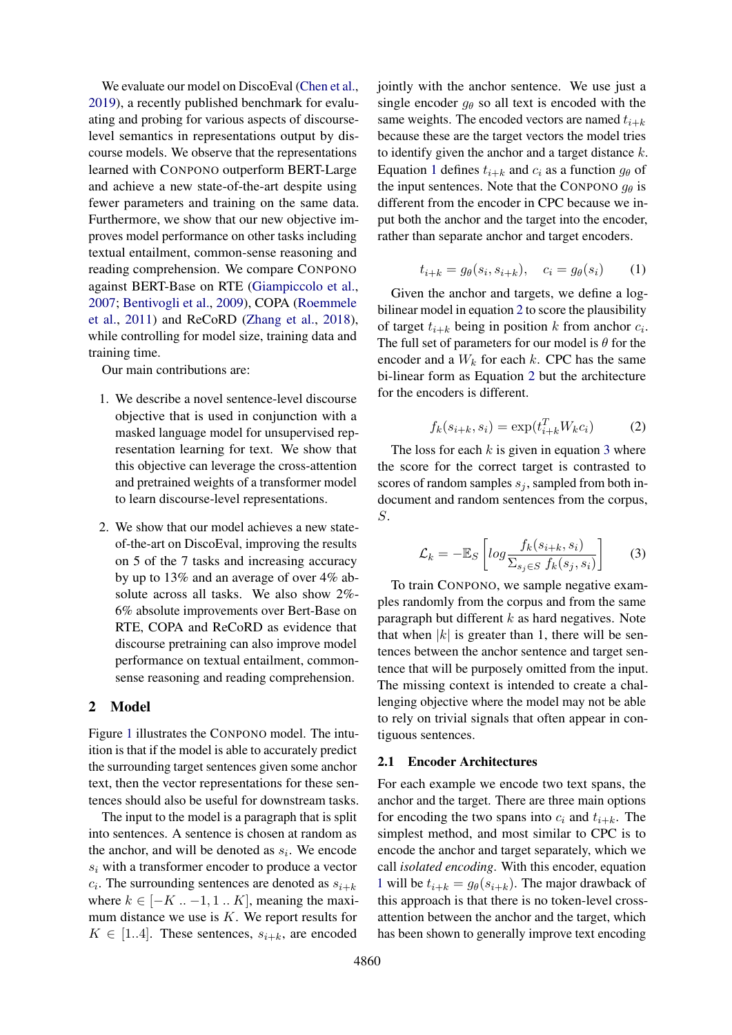We evaluate our model on DiscoEval [\(Chen et al.,](#page-9-5) [2019\)](#page-9-5), a recently published benchmark for evaluating and probing for various aspects of discourselevel semantics in representations output by discourse models. We observe that the representations learned with CONPONO outperform BERT-Large and achieve a new state-of-the-art despite using fewer parameters and training on the same data. Furthermore, we show that our new objective improves model performance on other tasks including textual entailment, common-sense reasoning and reading comprehension. We compare CONPONO against BERT-Base on RTE [\(Giampiccolo et al.,](#page-9-9) [2007;](#page-9-9) [Bentivogli et al.,](#page-8-0) [2009\)](#page-8-0), COPA [\(Roemmele](#page-9-10) [et al.,](#page-9-10) [2011\)](#page-9-10) and ReCoRD [\(Zhang et al.,](#page-9-11) [2018\)](#page-9-11), while controlling for model size, training data and training time.

Our main contributions are:

- 1. We describe a novel sentence-level discourse objective that is used in conjunction with a masked language model for unsupervised representation learning for text. We show that this objective can leverage the cross-attention and pretrained weights of a transformer model to learn discourse-level representations.
- 2. We show that our model achieves a new stateof-the-art on DiscoEval, improving the results on 5 of the 7 tasks and increasing accuracy by up to 13% and an average of over 4% absolute across all tasks. We also show 2%- 6% absolute improvements over Bert-Base on RTE, COPA and ReCoRD as evidence that discourse pretraining can also improve model performance on textual entailment, commonsense reasoning and reading comprehension.

## <span id="page-1-4"></span>2 Model

Figure [1](#page-2-0) illustrates the CONPONO model. The intuition is that if the model is able to accurately predict the surrounding target sentences given some anchor text, then the vector representations for these sentences should also be useful for downstream tasks.

The input to the model is a paragraph that is split into sentences. A sentence is chosen at random as the anchor, and will be denoted as  $s_i$ . We encode  $s_i$  with a transformer encoder to produce a vector  $c_i$ . The surrounding sentences are denoted as  $s_{i+k}$ where  $k \in [-K \dots -1, 1 \dots K]$ , meaning the maximum distance we use is  $K$ . We report results for  $K \in [1..4]$ . These sentences,  $s_{i+k}$ , are encoded

jointly with the anchor sentence. We use just a single encoder  $q_{\theta}$  so all text is encoded with the same weights. The encoded vectors are named  $t_{i+k}$ because these are the target vectors the model tries to identify given the anchor and a target distance  $k$ . Equation [1](#page-1-0) defines  $t_{i+k}$  and  $c_i$  as a function  $g_\theta$  of the input sentences. Note that the CONPONO  $g_{\theta}$  is different from the encoder in CPC because we input both the anchor and the target into the encoder, rather than separate anchor and target encoders.

$$
t_{i+k} = g_{\theta}(s_i, s_{i+k}), \quad c_i = g_{\theta}(s_i) \tag{1}
$$

<span id="page-1-0"></span>Given the anchor and targets, we define a logbilinear model in equation [2](#page-1-1) to score the plausibility of target  $t_{i+k}$  being in position k from anchor  $c_i$ . The full set of parameters for our model is  $\theta$  for the encoder and a  $W_k$  for each k. CPC has the same bi-linear form as Equation [2](#page-1-1) but the architecture for the encoders is different.

$$
f_k(s_{i+k}, s_i) = \exp(t_{i+k}^T W_k c_i)
$$
 (2)

<span id="page-1-1"></span>The loss for each  $k$  is given in equation [3](#page-1-2) where the score for the correct target is contrasted to scores of random samples  $s_j$ , sampled from both indocument and random sentences from the corpus, S.

<span id="page-1-2"></span>
$$
\mathcal{L}_k = -\mathbb{E}_S \left[ \log \frac{f_k(s_{i+k}, s_i)}{\Sigma_{s_j \in S} f_k(s_j, s_i)} \right]
$$
(3)

To train CONPONO, we sample negative examples randomly from the corpus and from the same paragraph but different  $k$  as hard negatives. Note that when  $|k|$  is greater than 1, there will be sentences between the anchor sentence and target sentence that will be purposely omitted from the input. The missing context is intended to create a challenging objective where the model may not be able to rely on trivial signals that often appear in contiguous sentences.

### <span id="page-1-3"></span>2.1 Encoder Architectures

For each example we encode two text spans, the anchor and the target. There are three main options for encoding the two spans into  $c_i$  and  $t_{i+k}$ . The simplest method, and most similar to CPC is to encode the anchor and target separately, which we call *isolated encoding*. With this encoder, equation [1](#page-1-0) will be  $t_{i+k} = g_{\theta}(s_{i+k})$ . The major drawback of this approach is that there is no token-level crossattention between the anchor and the target, which has been shown to generally improve text encoding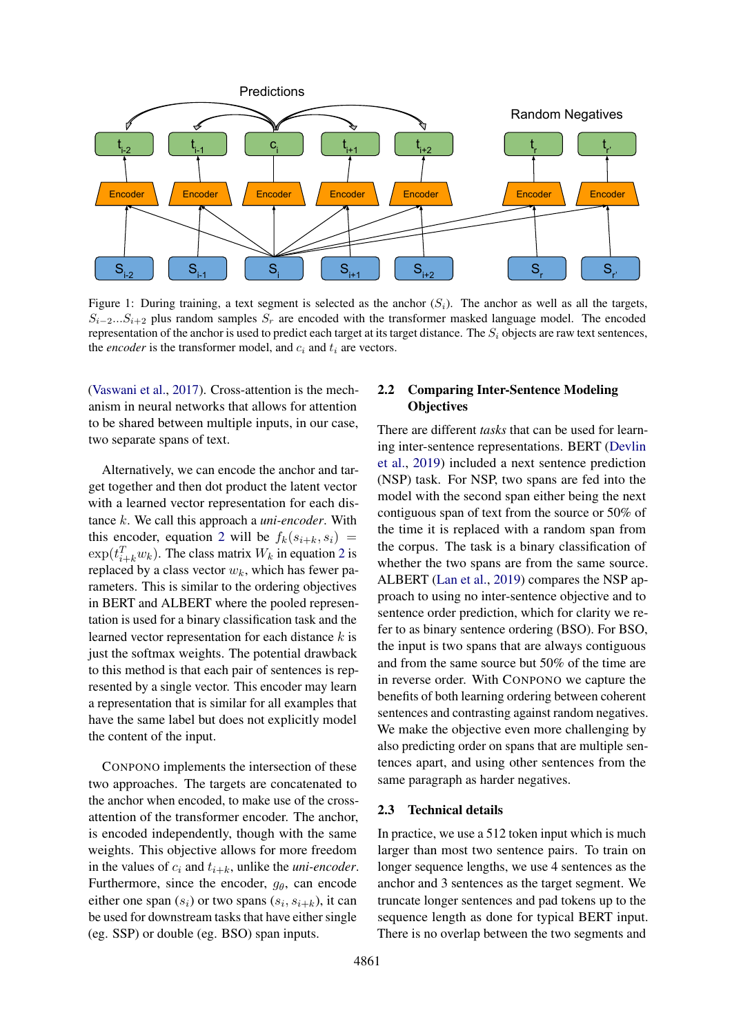<span id="page-2-0"></span>

Figure 1: During training, a text segment is selected as the anchor  $(S_i)$ . The anchor as well as all the targets,  $S_{i-2}...S_{i+2}$  plus random samples  $S_r$  are encoded with the transformer masked language model. The encoded representation of the anchor is used to predict each target at its target distance. The  $S_i$  objects are raw text sentences, the *encoder* is the transformer model, and  $c_i$  and  $t_i$  are vectors.

[\(Vaswani et al.,](#page-9-12) [2017\)](#page-9-12). Cross-attention is the mechanism in neural networks that allows for attention to be shared between multiple inputs, in our case, two separate spans of text.

Alternatively, we can encode the anchor and target together and then dot product the latent vector with a learned vector representation for each distance k. We call this approach a *uni-encoder*. With this encoder, equation [2](#page-1-1) will be  $f_k(s_{i+k}, s_i)$  =  $\exp(t_{i+k}^T w_k)$ . The class matrix  $W_k$  in equation [2](#page-1-1) is replaced by a class vector  $w_k$ , which has fewer parameters. This is similar to the ordering objectives in BERT and ALBERT where the pooled representation is used for a binary classification task and the learned vector representation for each distance  $k$  is just the softmax weights. The potential drawback to this method is that each pair of sentences is represented by a single vector. This encoder may learn a representation that is similar for all examples that have the same label but does not explicitly model the content of the input.

CONPONO implements the intersection of these two approaches. The targets are concatenated to the anchor when encoded, to make use of the crossattention of the transformer encoder. The anchor, is encoded independently, though with the same weights. This objective allows for more freedom in the values of  $c_i$  and  $t_{i+k}$ , unlike the *uni-encoder*. Furthermore, since the encoder,  $g_{\theta}$ , can encode either one span  $(s_i)$  or two spans  $(s_i, s_{i+k})$ , it can be used for downstream tasks that have either single (eg. SSP) or double (eg. BSO) span inputs.

## <span id="page-2-1"></span>2.2 Comparing Inter-Sentence Modeling **Objectives**

There are different *tasks* that can be used for learning inter-sentence representations. BERT [\(Devlin](#page-9-1) [et al.,](#page-9-1) [2019\)](#page-9-1) included a next sentence prediction (NSP) task. For NSP, two spans are fed into the model with the second span either being the next contiguous span of text from the source or 50% of the time it is replaced with a random span from the corpus. The task is a binary classification of whether the two spans are from the same source. ALBERT [\(Lan et al.,](#page-9-4) [2019\)](#page-9-4) compares the NSP approach to using no inter-sentence objective and to sentence order prediction, which for clarity we refer to as binary sentence ordering (BSO). For BSO, the input is two spans that are always contiguous and from the same source but 50% of the time are in reverse order. With CONPONO we capture the benefits of both learning ordering between coherent sentences and contrasting against random negatives. We make the objective even more challenging by also predicting order on spans that are multiple sentences apart, and using other sentences from the same paragraph as harder negatives.

#### 2.3 Technical details

In practice, we use a 512 token input which is much larger than most two sentence pairs. To train on longer sequence lengths, we use 4 sentences as the anchor and 3 sentences as the target segment. We truncate longer sentences and pad tokens up to the sequence length as done for typical BERT input. There is no overlap between the two segments and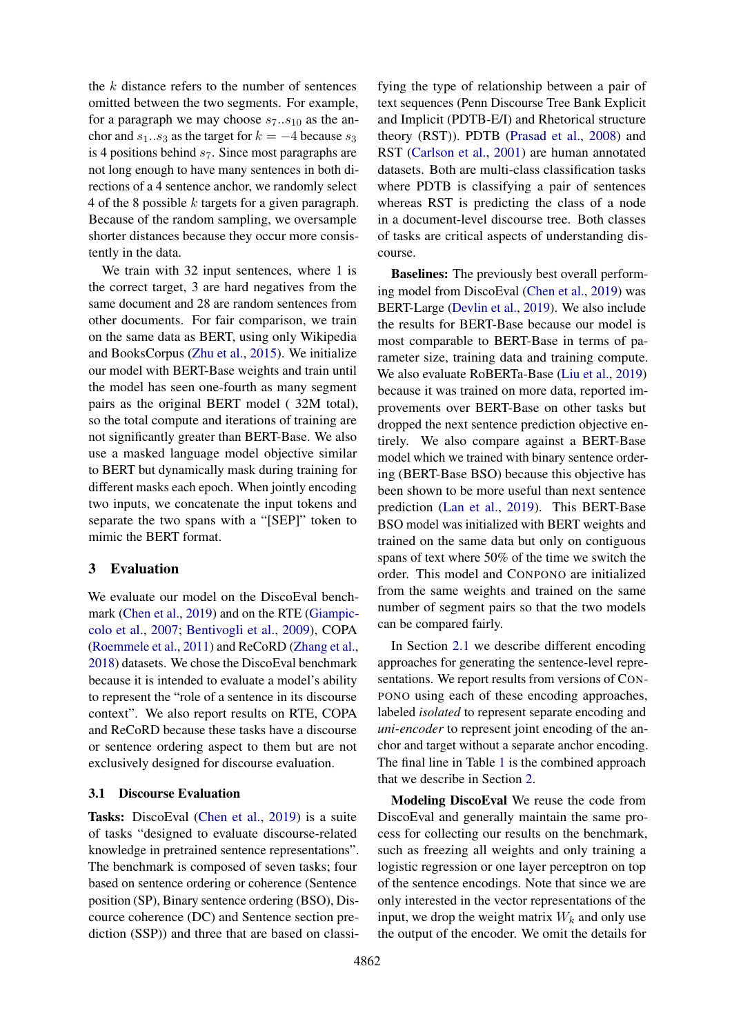the  $k$  distance refers to the number of sentences omitted between the two segments. For example, for a paragraph we may choose  $s_7..s_{10}$  as the anchor and  $s_1..s_3$  as the target for  $k = -4$  because  $s_3$ is 4 positions behind  $s<sub>7</sub>$ . Since most paragraphs are not long enough to have many sentences in both directions of a 4 sentence anchor, we randomly select 4 of the 8 possible  $k$  targets for a given paragraph. Because of the random sampling, we oversample shorter distances because they occur more consistently in the data.

We train with 32 input sentences, where 1 is the correct target, 3 are hard negatives from the same document and 28 are random sentences from other documents. For fair comparison, we train on the same data as BERT, using only Wikipedia and BooksCorpus [\(Zhu et al.,](#page-9-13) [2015\)](#page-9-13). We initialize our model with BERT-Base weights and train until the model has seen one-fourth as many segment pairs as the original BERT model ( 32M total), so the total compute and iterations of training are not significantly greater than BERT-Base. We also use a masked language model objective similar to BERT but dynamically mask during training for different masks each epoch. When jointly encoding two inputs, we concatenate the input tokens and separate the two spans with a "[SEP]" token to mimic the BERT format.

## 3 Evaluation

We evaluate our model on the DiscoEval benchmark [\(Chen et al.,](#page-9-5) [2019\)](#page-9-5) and on the RTE [\(Giampic](#page-9-9)[colo et al.,](#page-9-9) [2007;](#page-9-9) [Bentivogli et al.,](#page-8-0) [2009\)](#page-8-0), COPA [\(Roemmele et al.,](#page-9-10) [2011\)](#page-9-10) and ReCoRD [\(Zhang et al.,](#page-9-11) [2018\)](#page-9-11) datasets. We chose the DiscoEval benchmark because it is intended to evaluate a model's ability to represent the "role of a sentence in its discourse context". We also report results on RTE, COPA and ReCoRD because these tasks have a discourse or sentence ordering aspect to them but are not exclusively designed for discourse evaluation.

### 3.1 Discourse Evaluation

Tasks: DiscoEval [\(Chen et al.,](#page-9-5) [2019\)](#page-9-5) is a suite of tasks "designed to evaluate discourse-related knowledge in pretrained sentence representations". The benchmark is composed of seven tasks; four based on sentence ordering or coherence (Sentence position (SP), Binary sentence ordering (BSO), Discource coherence (DC) and Sentence section prediction (SSP)) and three that are based on classifying the type of relationship between a pair of text sequences (Penn Discourse Tree Bank Explicit and Implicit (PDTB-E/I) and Rhetorical structure theory (RST)). PDTB [\(Prasad et al.,](#page-9-14) [2008\)](#page-9-14) and RST [\(Carlson et al.,](#page-8-1) [2001\)](#page-8-1) are human annotated datasets. Both are multi-class classification tasks where PDTB is classifying a pair of sentences whereas RST is predicting the class of a node in a document-level discourse tree. Both classes of tasks are critical aspects of understanding discourse.

Baselines: The previously best overall performing model from DiscoEval [\(Chen et al.,](#page-9-5) [2019\)](#page-9-5) was BERT-Large [\(Devlin et al.,](#page-9-1) [2019\)](#page-9-1). We also include the results for BERT-Base because our model is most comparable to BERT-Base in terms of parameter size, training data and training compute. We also evaluate RoBERTa-Base [\(Liu et al.,](#page-9-3) [2019\)](#page-9-3) because it was trained on more data, reported improvements over BERT-Base on other tasks but dropped the next sentence prediction objective entirely. We also compare against a BERT-Base model which we trained with binary sentence ordering (BERT-Base BSO) because this objective has been shown to be more useful than next sentence prediction [\(Lan et al.,](#page-9-4) [2019\)](#page-9-4). This BERT-Base BSO model was initialized with BERT weights and trained on the same data but only on contiguous spans of text where 50% of the time we switch the order. This model and CONPONO are initialized from the same weights and trained on the same number of segment pairs so that the two models can be compared fairly.

In Section [2.1](#page-1-3) we describe different encoding approaches for generating the sentence-level representations. We report results from versions of CON-PONO using each of these encoding approaches, labeled *isolated* to represent separate encoding and *uni-encoder* to represent joint encoding of the anchor and target without a separate anchor encoding. The final line in Table [1](#page-4-0) is the combined approach that we describe in Section [2.](#page-1-4)

Modeling DiscoEval We reuse the code from DiscoEval and generally maintain the same process for collecting our results on the benchmark, such as freezing all weights and only training a logistic regression or one layer perceptron on top of the sentence encodings. Note that since we are only interested in the vector representations of the input, we drop the weight matrix  $W_k$  and only use the output of the encoder. We omit the details for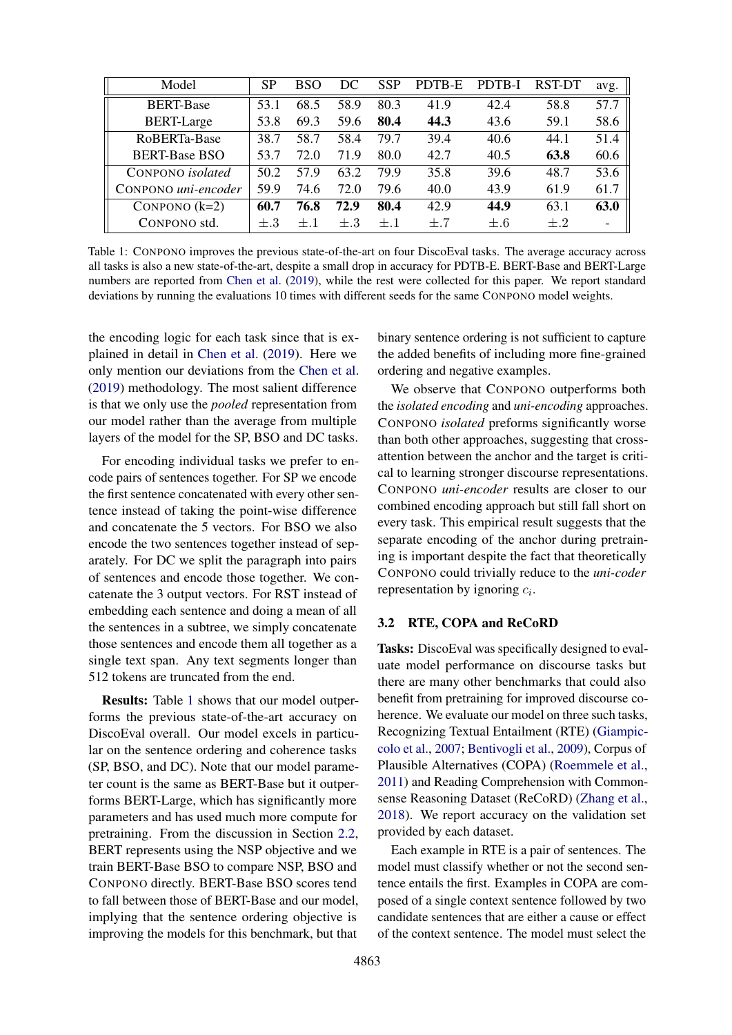<span id="page-4-0"></span>

| Model                   | <b>SP</b> | BSO  | DC   | <b>SSP</b> | PDTB-E | PDTB-I | RST-DT | avg. |
|-------------------------|-----------|------|------|------------|--------|--------|--------|------|
| <b>BERT-Base</b>        | 53 1      | 68.5 | 58.9 | 80.3       | 41.9   | 42.4   | 58.8   | 57.7 |
| <b>BERT-Large</b>       | 53.8      | 69.3 | 59.6 | 80.4       | 44.3   | 43.6   | 59.1   | 58.6 |
| RoBERTa-Base            | 38.7      | 58.7 | 58.4 | 79.7       | 39.4   | 40.6   | 44.1   | 51.4 |
| <b>BERT-Base BSO</b>    | 53.7      | 72.0 | 71.9 | 80.0       | 42.7   | 40.5   | 63.8   | 60.6 |
| CONPONO <i>isolated</i> | 50.2      | 57.9 | 63.2 | 79.9       | 35.8   | 39.6   | 48.7   | 53.6 |
| CONPONO uni-encoder     | 59.9      | 74.6 | 72.0 | 79.6       | 40.0   | 43.9   | 61.9   | 61.7 |
| CONPONO $(k=2)$         | 60.7      | 76.8 | 72.9 | 80.4       | 42.9   | 44.9   | 63.1   | 63.0 |
| CONPONO std.            | $+.3$     |      | $+3$ | $+1$       | $+7$   | $+.6$  | $+.2$  |      |

Table 1: CONPONO improves the previous state-of-the-art on four DiscoEval tasks. The average accuracy across all tasks is also a new state-of-the-art, despite a small drop in accuracy for PDTB-E. BERT-Base and BERT-Large numbers are reported from [Chen et al.](#page-9-5) [\(2019\)](#page-9-5), while the rest were collected for this paper. We report standard deviations by running the evaluations 10 times with different seeds for the same CONPONO model weights.

the encoding logic for each task since that is explained in detail in [Chen et al.](#page-9-5) [\(2019\)](#page-9-5). Here we only mention our deviations from the [Chen et al.](#page-9-5) [\(2019\)](#page-9-5) methodology. The most salient difference is that we only use the *pooled* representation from our model rather than the average from multiple layers of the model for the SP, BSO and DC tasks.

For encoding individual tasks we prefer to encode pairs of sentences together. For SP we encode the first sentence concatenated with every other sentence instead of taking the point-wise difference and concatenate the 5 vectors. For BSO we also encode the two sentences together instead of separately. For DC we split the paragraph into pairs of sentences and encode those together. We concatenate the 3 output vectors. For RST instead of embedding each sentence and doing a mean of all the sentences in a subtree, we simply concatenate those sentences and encode them all together as a single text span. Any text segments longer than 512 tokens are truncated from the end.

Results: Table [1](#page-4-0) shows that our model outperforms the previous state-of-the-art accuracy on DiscoEval overall. Our model excels in particular on the sentence ordering and coherence tasks (SP, BSO, and DC). Note that our model parameter count is the same as BERT-Base but it outperforms BERT-Large, which has significantly more parameters and has used much more compute for pretraining. From the discussion in Section [2.2,](#page-2-1) BERT represents using the NSP objective and we train BERT-Base BSO to compare NSP, BSO and CONPONO directly. BERT-Base BSO scores tend to fall between those of BERT-Base and our model, implying that the sentence ordering objective is improving the models for this benchmark, but that

binary sentence ordering is not sufficient to capture the added benefits of including more fine-grained ordering and negative examples.

We observe that CONPONO outperforms both the *isolated encoding* and *uni-encoding* approaches. CONPONO *isolated* preforms significantly worse than both other approaches, suggesting that crossattention between the anchor and the target is critical to learning stronger discourse representations. CONPONO *uni-encoder* results are closer to our combined encoding approach but still fall short on every task. This empirical result suggests that the separate encoding of the anchor during pretraining is important despite the fact that theoretically CONPONO could trivially reduce to the *uni-coder* representation by ignoring  $c_i$ .

## 3.2 RTE, COPA and ReCoRD

Tasks: DiscoEval was specifically designed to evaluate model performance on discourse tasks but there are many other benchmarks that could also benefit from pretraining for improved discourse coherence. We evaluate our model on three such tasks, Recognizing Textual Entailment (RTE) [\(Giampic](#page-9-9)[colo et al.,](#page-9-9) [2007;](#page-9-9) [Bentivogli et al.,](#page-8-0) [2009\)](#page-8-0), Corpus of Plausible Alternatives (COPA) [\(Roemmele et al.,](#page-9-10) [2011\)](#page-9-10) and Reading Comprehension with Commonsense Reasoning Dataset (ReCoRD) [\(Zhang et al.,](#page-9-11) [2018\)](#page-9-11). We report accuracy on the validation set provided by each dataset.

Each example in RTE is a pair of sentences. The model must classify whether or not the second sentence entails the first. Examples in COPA are composed of a single context sentence followed by two candidate sentences that are either a cause or effect of the context sentence. The model must select the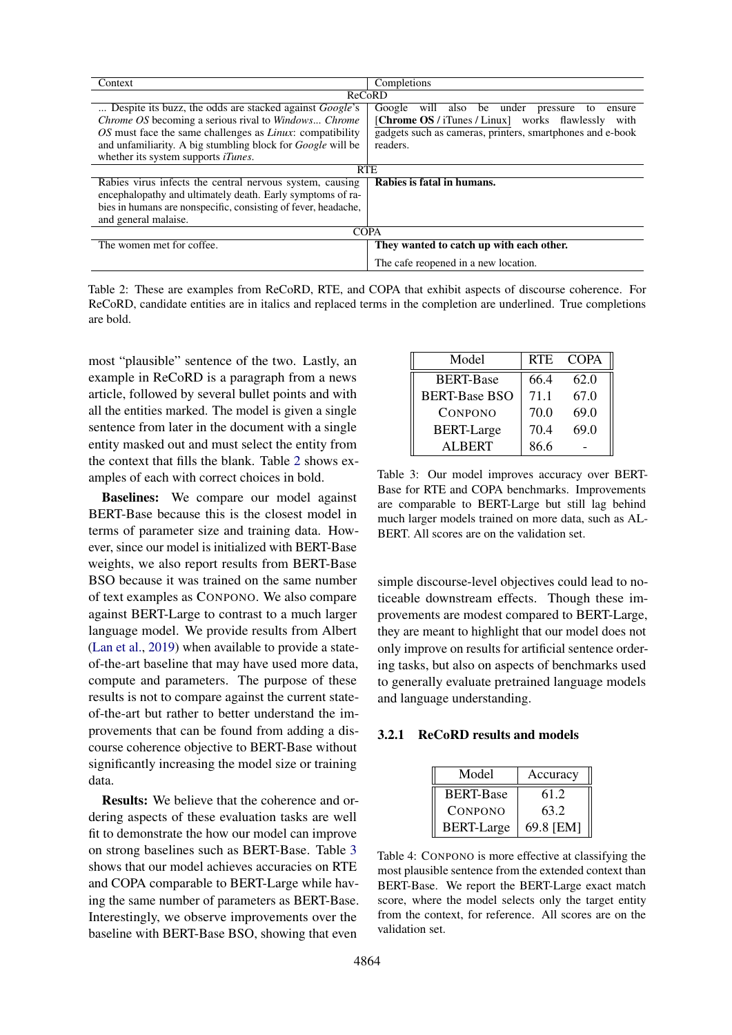<span id="page-5-0"></span>

| Context                                                            | Completions                                                    |  |  |  |  |  |
|--------------------------------------------------------------------|----------------------------------------------------------------|--|--|--|--|--|
|                                                                    | ReCoRD                                                         |  |  |  |  |  |
| Despite its buzz, the odds are stacked against <i>Google's</i>     | Google<br>will<br>also<br>be under<br>pressure<br>ensure<br>to |  |  |  |  |  |
| <i>Chrome OS</i> becoming a serious rival to <i>Windows Chrome</i> | [Chrome OS / iTunes / Linux] works flawlessly<br>with          |  |  |  |  |  |
| OS must face the same challenges as <i>Linux</i> : compatibility   | gadgets such as cameras, printers, smartphones and e-book      |  |  |  |  |  |
| and unfamiliarity. A big stumbling block for <i>Google</i> will be | readers.                                                       |  |  |  |  |  |
| whether its system supports <i>iTunes</i> .                        |                                                                |  |  |  |  |  |
| <b>RTE</b>                                                         |                                                                |  |  |  |  |  |
| Rabies virus infects the central nervous system, causing           | Rabies is fatal in humans.                                     |  |  |  |  |  |
| encephalopathy and ultimately death. Early symptoms of ra-         |                                                                |  |  |  |  |  |
| bies in humans are nonspecific, consisting of fever, headache,     |                                                                |  |  |  |  |  |
| and general malaise.                                               |                                                                |  |  |  |  |  |
| <b>COPA</b>                                                        |                                                                |  |  |  |  |  |
| The women met for coffee.                                          | They wanted to catch up with each other.                       |  |  |  |  |  |
|                                                                    | The cafe reopened in a new location.                           |  |  |  |  |  |

Table 2: These are examples from ReCoRD, RTE, and COPA that exhibit aspects of discourse coherence. For ReCoRD, candidate entities are in italics and replaced terms in the completion are underlined. True completions are bold.

most "plausible" sentence of the two. Lastly, an example in ReCoRD is a paragraph from a news article, followed by several bullet points and with all the entities marked. The model is given a single sentence from later in the document with a single entity masked out and must select the entity from the context that fills the blank. Table [2](#page-5-0) shows examples of each with correct choices in bold.

Baselines: We compare our model against BERT-Base because this is the closest model in terms of parameter size and training data. However, since our model is initialized with BERT-Base weights, we also report results from BERT-Base BSO because it was trained on the same number of text examples as CONPONO. We also compare against BERT-Large to contrast to a much larger language model. We provide results from Albert [\(Lan et al.,](#page-9-4) [2019\)](#page-9-4) when available to provide a stateof-the-art baseline that may have used more data, compute and parameters. The purpose of these results is not to compare against the current stateof-the-art but rather to better understand the improvements that can be found from adding a discourse coherence objective to BERT-Base without significantly increasing the model size or training data.

Results: We believe that the coherence and ordering aspects of these evaluation tasks are well fit to demonstrate the how our model can improve on strong baselines such as BERT-Base. Table [3](#page-5-1) shows that our model achieves accuracies on RTE and COPA comparable to BERT-Large while having the same number of parameters as BERT-Base. Interestingly, we observe improvements over the baseline with BERT-Base BSO, showing that even

<span id="page-5-1"></span>

| Model                | <b>RTE</b> | <b>COPA</b> |
|----------------------|------------|-------------|
| <b>BERT-Base</b>     | 66.4       | 62.0        |
| <b>BERT-Base BSO</b> | 71.1       | 67.0        |
| CONPONO              | 70.0       | 69.0        |
| <b>BERT-Large</b>    | 70.4       | 69.0        |
| ALBERT               | 86.6       |             |

Table 3: Our model improves accuracy over BERT-Base for RTE and COPA benchmarks. Improvements are comparable to BERT-Large but still lag behind much larger models trained on more data, such as AL-BERT. All scores are on the validation set.

simple discourse-level objectives could lead to noticeable downstream effects. Though these improvements are modest compared to BERT-Large, they are meant to highlight that our model does not only improve on results for artificial sentence ordering tasks, but also on aspects of benchmarks used to generally evaluate pretrained language models and language understanding.

### <span id="page-5-2"></span>3.2.1 ReCoRD results and models

| Model             | Accuracy  |
|-------------------|-----------|
| <b>BERT-Base</b>  | 61.2      |
| CONPONO           | 63.2      |
| <b>BERT-Large</b> | 69.8 [EM] |

Table 4: CONPONO is more effective at classifying the most plausible sentence from the extended context than BERT-Base. We report the BERT-Large exact match score, where the model selects only the target entity from the context, for reference. All scores are on the validation set.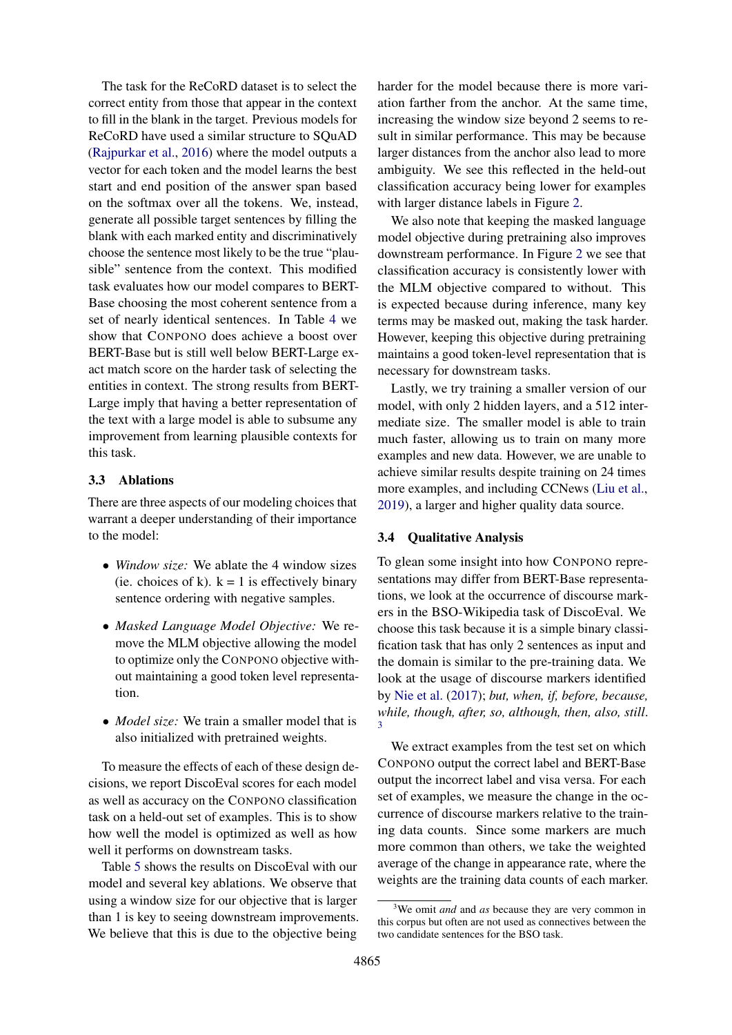The task for the ReCoRD dataset is to select the correct entity from those that appear in the context to fill in the blank in the target. Previous models for ReCoRD have used a similar structure to SQuAD [\(Rajpurkar et al.,](#page-9-15) [2016\)](#page-9-15) where the model outputs a vector for each token and the model learns the best start and end position of the answer span based on the softmax over all the tokens. We, instead, generate all possible target sentences by filling the blank with each marked entity and discriminatively choose the sentence most likely to be the true "plausible" sentence from the context. This modified task evaluates how our model compares to BERT-Base choosing the most coherent sentence from a set of nearly identical sentences. In Table [4](#page-5-2) we show that CONPONO does achieve a boost over BERT-Base but is still well below BERT-Large exact match score on the harder task of selecting the entities in context. The strong results from BERT-Large imply that having a better representation of the text with a large model is able to subsume any improvement from learning plausible contexts for this task.

## <span id="page-6-1"></span>3.3 Ablations

There are three aspects of our modeling choices that warrant a deeper understanding of their importance to the model:

- *Window size:* We ablate the 4 window sizes (ie. choices of k).  $k = 1$  is effectively binary sentence ordering with negative samples.
- *Masked Language Model Objective:* We remove the MLM objective allowing the model to optimize only the CONPONO objective without maintaining a good token level representation.
- *Model size:* We train a smaller model that is also initialized with pretrained weights.

To measure the effects of each of these design decisions, we report DiscoEval scores for each model as well as accuracy on the CONPONO classification task on a held-out set of examples. This is to show how well the model is optimized as well as how well it performs on downstream tasks.

Table [5](#page-7-0) shows the results on DiscoEval with our model and several key ablations. We observe that using a window size for our objective that is larger than 1 is key to seeing downstream improvements. We believe that this is due to the objective being

harder for the model because there is more variation farther from the anchor. At the same time, increasing the window size beyond 2 seems to result in similar performance. This may be because larger distances from the anchor also lead to more ambiguity. We see this reflected in the held-out classification accuracy being lower for examples with larger distance labels in Figure [2.](#page-7-1)

We also note that keeping the masked language model objective during pretraining also improves downstream performance. In Figure [2](#page-7-1) we see that classification accuracy is consistently lower with the MLM objective compared to without. This is expected because during inference, many key terms may be masked out, making the task harder. However, keeping this objective during pretraining maintains a good token-level representation that is necessary for downstream tasks.

Lastly, we try training a smaller version of our model, with only 2 hidden layers, and a 512 intermediate size. The smaller model is able to train much faster, allowing us to train on many more examples and new data. However, we are unable to achieve similar results despite training on 24 times more examples, and including CCNews [\(Liu et al.,](#page-9-3) [2019\)](#page-9-3), a larger and higher quality data source.

#### 3.4 Qualitative Analysis

To glean some insight into how CONPONO representations may differ from BERT-Base representations, we look at the occurrence of discourse markers in the BSO-Wikipedia task of DiscoEval. We choose this task because it is a simple binary classification task that has only 2 sentences as input and the domain is similar to the pre-training data. We look at the usage of discourse markers identified by [Nie et al.](#page-9-16) [\(2017\)](#page-9-16); *but, when, if, before, because, while, though, after, so, although, then, also, still*. [3](#page-6-0)

We extract examples from the test set on which CONPONO output the correct label and BERT-Base output the incorrect label and visa versa. For each set of examples, we measure the change in the occurrence of discourse markers relative to the training data counts. Since some markers are much more common than others, we take the weighted average of the change in appearance rate, where the weights are the training data counts of each marker.

<span id="page-6-0"></span><sup>3</sup>We omit *and* and *as* because they are very common in this corpus but often are not used as connectives between the two candidate sentences for the BSO task.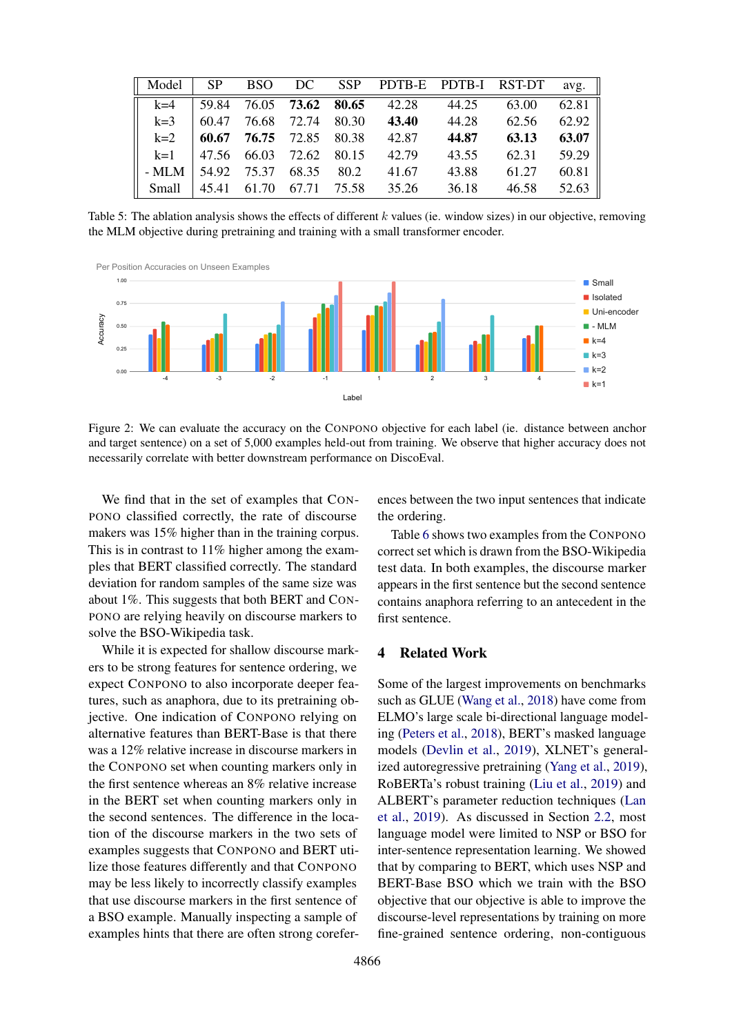<span id="page-7-0"></span>

| Model | SP |                                 |  | BSO DC SSP PDTB-E PDTB-I RST-DT avg.            |             |       |       |
|-------|----|---------------------------------|--|-------------------------------------------------|-------------|-------|-------|
| $k=4$ |    |                                 |  | $\vert$ 59.84 76.05 <b>73.62 80.65</b> 42.28    | 44.25       | 63.00 | 62.81 |
|       |    |                                 |  | $k=3$ 60.47 76.68 72.74 80.30 43.40 44.28 62.56 |             |       | 62.92 |
|       |    | $k=2$ 60.67 76.75 72.85 80.38   |  | 42.87                                           | 44.87       | 63.13 | 63.07 |
|       |    | $k=1$   47.56 66.03 72.62 80.15 |  | 42.79                                           | 43.55       | 62.31 | 59.29 |
| - MLM |    | 54.92 75.37 68.35 80.2          |  | 41.67                                           | 43.88       | 61.27 | 60.81 |
| Small |    | $\vert$ 45.41 61.70 67.71 75.58 |  |                                                 | 35.26 36.18 | 46.58 | 52.63 |

Table 5: The ablation analysis shows the effects of different  $k$  values (ie. window sizes) in our objective, removing the MLM objective during pretraining and training with a small transformer encoder.

<span id="page-7-1"></span>

Figure 2: We can evaluate the accuracy on the CONPONO objective for each label (ie. distance between anchor and target sentence) on a set of 5,000 examples held-out from training. We observe that higher accuracy does not necessarily correlate with better downstream performance on DiscoEval.

We find that in the set of examples that CON-PONO classified correctly, the rate of discourse makers was 15% higher than in the training corpus. This is in contrast to 11% higher among the examples that BERT classified correctly. The standard deviation for random samples of the same size was about 1%. This suggests that both BERT and CON-PONO are relying heavily on discourse markers to solve the BSO-Wikipedia task.

While it is expected for shallow discourse markers to be strong features for sentence ordering, we expect CONPONO to also incorporate deeper features, such as anaphora, due to its pretraining objective. One indication of CONPONO relying on alternative features than BERT-Base is that there was a 12% relative increase in discourse markers in the CONPONO set when counting markers only in the first sentence whereas an 8% relative increase in the BERT set when counting markers only in the second sentences. The difference in the location of the discourse markers in the two sets of examples suggests that CONPONO and BERT utilize those features differently and that CONPONO may be less likely to incorrectly classify examples that use discourse markers in the first sentence of a BSO example. Manually inspecting a sample of examples hints that there are often strong corefer-

ences between the two input sentences that indicate the ordering.

Table [6](#page-8-2) shows two examples from the CONPONO correct set which is drawn from the BSO-Wikipedia test data. In both examples, the discourse marker appears in the first sentence but the second sentence contains anaphora referring to an antecedent in the first sentence.

## 4 Related Work

Some of the largest improvements on benchmarks such as GLUE [\(Wang et al.,](#page-9-17) [2018\)](#page-9-17) have come from ELMO's large scale bi-directional language modeling [\(Peters et al.,](#page-9-0) [2018\)](#page-9-0), BERT's masked language models [\(Devlin et al.,](#page-9-1) [2019\)](#page-9-1), XLNET's generalized autoregressive pretraining [\(Yang et al.,](#page-9-2) [2019\)](#page-9-2), RoBERTa's robust training [\(Liu et al.,](#page-9-3) [2019\)](#page-9-3) and ALBERT's parameter reduction techniques [\(Lan](#page-9-4) [et al.,](#page-9-4) [2019\)](#page-9-4). As discussed in Section [2.2,](#page-2-1) most language model were limited to NSP or BSO for inter-sentence representation learning. We showed that by comparing to BERT, which uses NSP and BERT-Base BSO which we train with the BSO objective that our objective is able to improve the discourse-level representations by training on more fine-grained sentence ordering, non-contiguous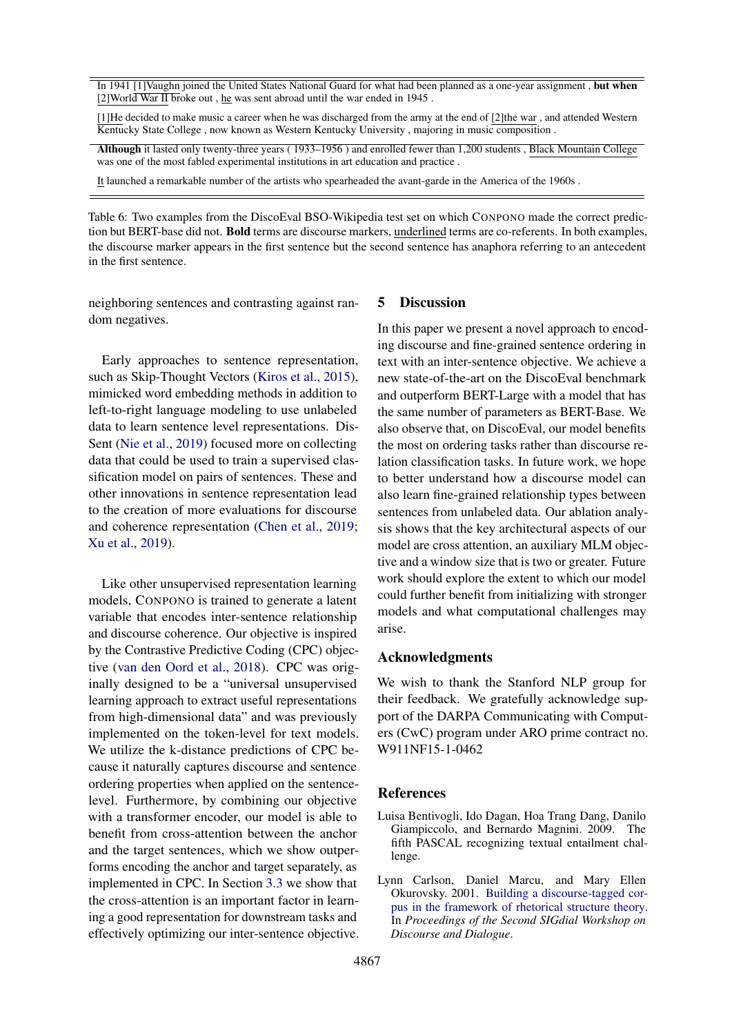<span id="page-8-2"></span>In 1941 [1] Vaughn joined the United States National Guard for what had been planned as a one-year assignment, but when [2]World War II broke out, he was sent abroad until the war ended in 1945.

[1]He decided to make music a career when he was discharged from the army at the end of [2]the war , and attended Western Kentucky State College , now known as Western Kentucky University , majoring in music composition .

Although it lasted only twenty-three years ( 1933–1956 ) and enrolled fewer than 1,200 students , Black Mountain College was one of the most fabled experimental institutions in art education and practice .

It launched a remarkable number of the artists who spearheaded the avant-garde in the America of the 1960s .

Table 6: Two examples from the DiscoEval BSO-Wikipedia test set on which CONPONO made the correct prediction but BERT-base did not. Bold terms are discourse markers, underlined terms are co-referents. In both examples, the discourse marker appears in the first sentence but the second sentence has anaphora referring to an antecedent in the first sentence.

neighboring sentences and contrasting against random negatives.

Early approaches to sentence representation, such as Skip-Thought Vectors [\(Kiros et al.,](#page-9-18) [2015\)](#page-9-18), mimicked word embedding methods in addition to left-to-right language modeling to use unlabeled data to learn sentence level representations. Dis-Sent [\(Nie et al.,](#page-9-6) [2019\)](#page-9-6) focused more on collecting data that could be used to train a supervised classification model on pairs of sentences. These and other innovations in sentence representation lead to the creation of more evaluations for discourse and coherence representation [\(Chen et al.,](#page-9-5) [2019;](#page-9-5) [Xu et al.,](#page-9-7) [2019\)](#page-9-7).

Like other unsupervised representation learning models, CONPONO is trained to generate a latent variable that encodes inter-sentence relationship and discourse coherence. Our objective is inspired by the Contrastive Predictive Coding (CPC) objective [\(van den Oord et al.,](#page-9-8) [2018\)](#page-9-8). CPC was originally designed to be a "universal unsupervised learning approach to extract useful representations from high-dimensional data" and was previously implemented on the token-level for text models. We utilize the k-distance predictions of CPC because it naturally captures discourse and sentence ordering properties when applied on the sentencelevel. Furthermore, by combining our objective with a transformer encoder, our model is able to benefit from cross-attention between the anchor and the target sentences, which we show outperforms encoding the anchor and target separately, as implemented in CPC. In Section [3.3](#page-6-1) we show that the cross-attention is an important factor in learning a good representation for downstream tasks and effectively optimizing our inter-sentence objective.

## 5 Discussion

In this paper we present a novel approach to encoding discourse and fine-grained sentence ordering in text with an inter-sentence objective. We achieve a new state-of-the-art on the DiscoEval benchmark and outperform BERT-Large with a model that has the same number of parameters as BERT-Base. We also observe that, on DiscoEval, our model benefits the most on ordering tasks rather than discourse relation classification tasks. In future work, we hope to better understand how a discourse model can also learn fine-grained relationship types between sentences from unlabeled data. Our ablation analysis shows that the key architectural aspects of our model are cross attention, an auxiliary MLM objective and a window size that is two or greater. Future work should explore the extent to which our model could further benefit from initializing with stronger models and what computational challenges may arise.

### Acknowledgments

We wish to thank the Stanford NLP group for their feedback. We gratefully acknowledge support of the DARPA Communicating with Computers (CwC) program under ARO prime contract no. W911NF15-1-0462

### **References**

- <span id="page-8-0"></span>Luisa Bentivogli, Ido Dagan, Hoa Trang Dang, Danilo Giampiccolo, and Bernardo Magnini. 2009. The fifth PASCAL recognizing textual entailment challenge.
- <span id="page-8-1"></span>Lynn Carlson, Daniel Marcu, and Mary Ellen Okurovsky. 2001. [Building a discourse-tagged cor](https://www.aclweb.org/anthology/W01-1605)[pus in the framework of rhetorical structure theory.](https://www.aclweb.org/anthology/W01-1605) In *Proceedings of the Second SIGdial Workshop on Discourse and Dialogue*.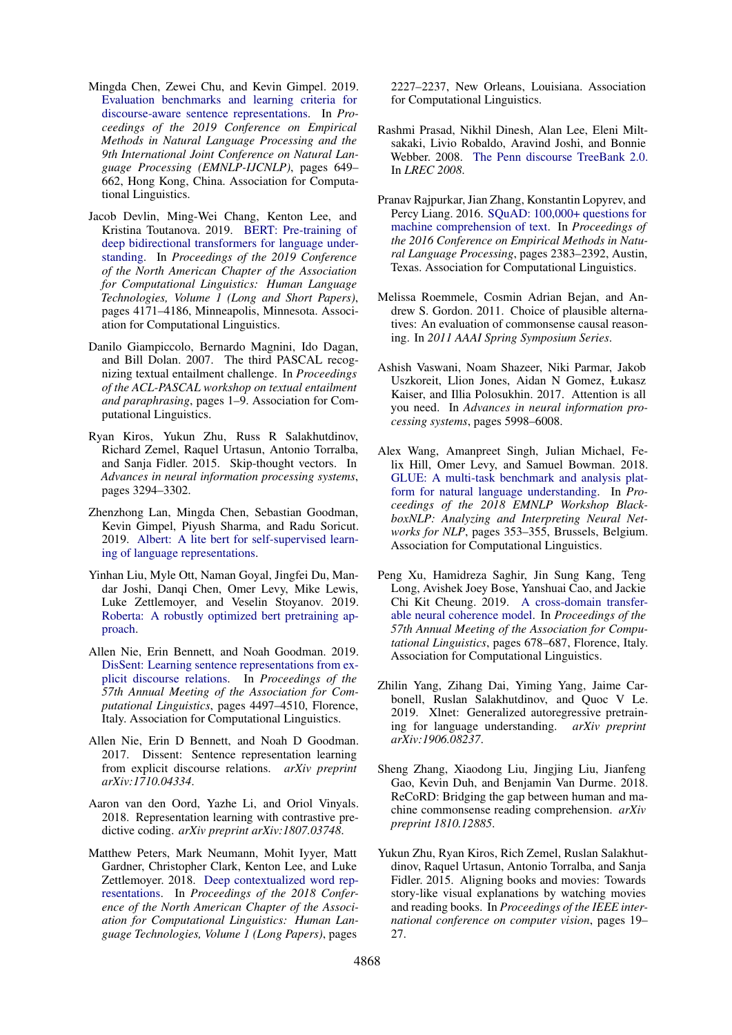- <span id="page-9-5"></span>Mingda Chen, Zewei Chu, and Kevin Gimpel. 2019. [Evaluation benchmarks and learning criteria for](https://doi.org/10.18653/v1/D19-1060) [discourse-aware sentence representations.](https://doi.org/10.18653/v1/D19-1060) In *Proceedings of the 2019 Conference on Empirical Methods in Natural Language Processing and the 9th International Joint Conference on Natural Language Processing (EMNLP-IJCNLP)*, pages 649– 662, Hong Kong, China. Association for Computational Linguistics.
- <span id="page-9-1"></span>Jacob Devlin, Ming-Wei Chang, Kenton Lee, and Kristina Toutanova. 2019. [BERT: Pre-training of](https://doi.org/10.18653/v1/N19-1423) [deep bidirectional transformers for language under](https://doi.org/10.18653/v1/N19-1423)[standing.](https://doi.org/10.18653/v1/N19-1423) In *Proceedings of the 2019 Conference of the North American Chapter of the Association for Computational Linguistics: Human Language Technologies, Volume 1 (Long and Short Papers)*, pages 4171–4186, Minneapolis, Minnesota. Association for Computational Linguistics.
- <span id="page-9-9"></span>Danilo Giampiccolo, Bernardo Magnini, Ido Dagan, and Bill Dolan. 2007. The third PASCAL recognizing textual entailment challenge. In *Proceedings of the ACL-PASCAL workshop on textual entailment and paraphrasing*, pages 1–9. Association for Computational Linguistics.
- <span id="page-9-18"></span>Ryan Kiros, Yukun Zhu, Russ R Salakhutdinov, Richard Zemel, Raquel Urtasun, Antonio Torralba, and Sanja Fidler. 2015. Skip-thought vectors. In *Advances in neural information processing systems*, pages 3294–3302.
- <span id="page-9-4"></span>Zhenzhong Lan, Mingda Chen, Sebastian Goodman, Kevin Gimpel, Piyush Sharma, and Radu Soricut. 2019. [Albert: A lite bert for self-supervised learn](http://arxiv.org/abs/1909.11942)[ing of language representations.](http://arxiv.org/abs/1909.11942)
- <span id="page-9-3"></span>Yinhan Liu, Myle Ott, Naman Goyal, Jingfei Du, Mandar Joshi, Danqi Chen, Omer Levy, Mike Lewis, Luke Zettlemoyer, and Veselin Stoyanov. 2019. [Roberta: A robustly optimized bert pretraining ap](http://arxiv.org/abs/1907.11692)[proach.](http://arxiv.org/abs/1907.11692)
- <span id="page-9-6"></span>Allen Nie, Erin Bennett, and Noah Goodman. 2019. [DisSent: Learning sentence representations from ex](https://doi.org/10.18653/v1/P19-1442)[plicit discourse relations.](https://doi.org/10.18653/v1/P19-1442) In *Proceedings of the 57th Annual Meeting of the Association for Computational Linguistics*, pages 4497–4510, Florence, Italy. Association for Computational Linguistics.
- <span id="page-9-16"></span>Allen Nie, Erin D Bennett, and Noah D Goodman. 2017. Dissent: Sentence representation learning from explicit discourse relations. *arXiv preprint arXiv:1710.04334*.
- <span id="page-9-8"></span>Aaron van den Oord, Yazhe Li, and Oriol Vinyals. 2018. Representation learning with contrastive predictive coding. *arXiv preprint arXiv:1807.03748*.
- <span id="page-9-0"></span>Matthew Peters, Mark Neumann, Mohit Iyyer, Matt Gardner, Christopher Clark, Kenton Lee, and Luke Zettlemoyer. 2018. [Deep contextualized word rep](https://doi.org/10.18653/v1/N18-1202)[resentations.](https://doi.org/10.18653/v1/N18-1202) In *Proceedings of the 2018 Conference of the North American Chapter of the Association for Computational Linguistics: Human Language Technologies, Volume 1 (Long Papers)*, pages

2227–2237, New Orleans, Louisiana. Association for Computational Linguistics.

- <span id="page-9-14"></span>Rashmi Prasad, Nikhil Dinesh, Alan Lee, Eleni Miltsakaki, Livio Robaldo, Aravind Joshi, and Bonnie Webber. 2008. [The Penn discourse TreeBank 2.0.](http://www.lrec-conf.org/proceedings/lrec2008/pdf/754_paper.pdf) In *LREC 2008*.
- <span id="page-9-15"></span>Pranav Rajpurkar, Jian Zhang, Konstantin Lopyrev, and Percy Liang. 2016. [SQuAD: 100,000+ questions for](https://doi.org/10.18653/v1/D16-1264) [machine comprehension of text.](https://doi.org/10.18653/v1/D16-1264) In *Proceedings of the 2016 Conference on Empirical Methods in Natural Language Processing*, pages 2383–2392, Austin, Texas. Association for Computational Linguistics.
- <span id="page-9-10"></span>Melissa Roemmele, Cosmin Adrian Bejan, and Andrew S. Gordon. 2011. Choice of plausible alternatives: An evaluation of commonsense causal reasoning. In *2011 AAAI Spring Symposium Series*.
- <span id="page-9-12"></span>Ashish Vaswani, Noam Shazeer, Niki Parmar, Jakob Uszkoreit, Llion Jones, Aidan N Gomez, Łukasz Kaiser, and Illia Polosukhin. 2017. Attention is all you need. In *Advances in neural information processing systems*, pages 5998–6008.
- <span id="page-9-17"></span>Alex Wang, Amanpreet Singh, Julian Michael, Felix Hill, Omer Levy, and Samuel Bowman. 2018. [GLUE: A multi-task benchmark and analysis plat](https://doi.org/10.18653/v1/W18-5446)[form for natural language understanding.](https://doi.org/10.18653/v1/W18-5446) In *Proceedings of the 2018 EMNLP Workshop BlackboxNLP: Analyzing and Interpreting Neural Networks for NLP*, pages 353–355, Brussels, Belgium. Association for Computational Linguistics.
- <span id="page-9-7"></span>Peng Xu, Hamidreza Saghir, Jin Sung Kang, Teng Long, Avishek Joey Bose, Yanshuai Cao, and Jackie Chi Kit Cheung. 2019. [A cross-domain transfer](https://doi.org/10.18653/v1/P19-1067)[able neural coherence model.](https://doi.org/10.18653/v1/P19-1067) In *Proceedings of the 57th Annual Meeting of the Association for Computational Linguistics*, pages 678–687, Florence, Italy. Association for Computational Linguistics.
- <span id="page-9-2"></span>Zhilin Yang, Zihang Dai, Yiming Yang, Jaime Carbonell, Ruslan Salakhutdinov, and Quoc V Le. 2019. Xlnet: Generalized autoregressive pretraining for language understanding. *arXiv preprint arXiv:1906.08237*.
- <span id="page-9-11"></span>Sheng Zhang, Xiaodong Liu, Jingjing Liu, Jianfeng Gao, Kevin Duh, and Benjamin Van Durme. 2018. ReCoRD: Bridging the gap between human and machine commonsense reading comprehension. *arXiv preprint 1810.12885*.
- <span id="page-9-13"></span>Yukun Zhu, Ryan Kiros, Rich Zemel, Ruslan Salakhutdinov, Raquel Urtasun, Antonio Torralba, and Sanja Fidler. 2015. Aligning books and movies: Towards story-like visual explanations by watching movies and reading books. In *Proceedings of the IEEE international conference on computer vision*, pages 19– 27.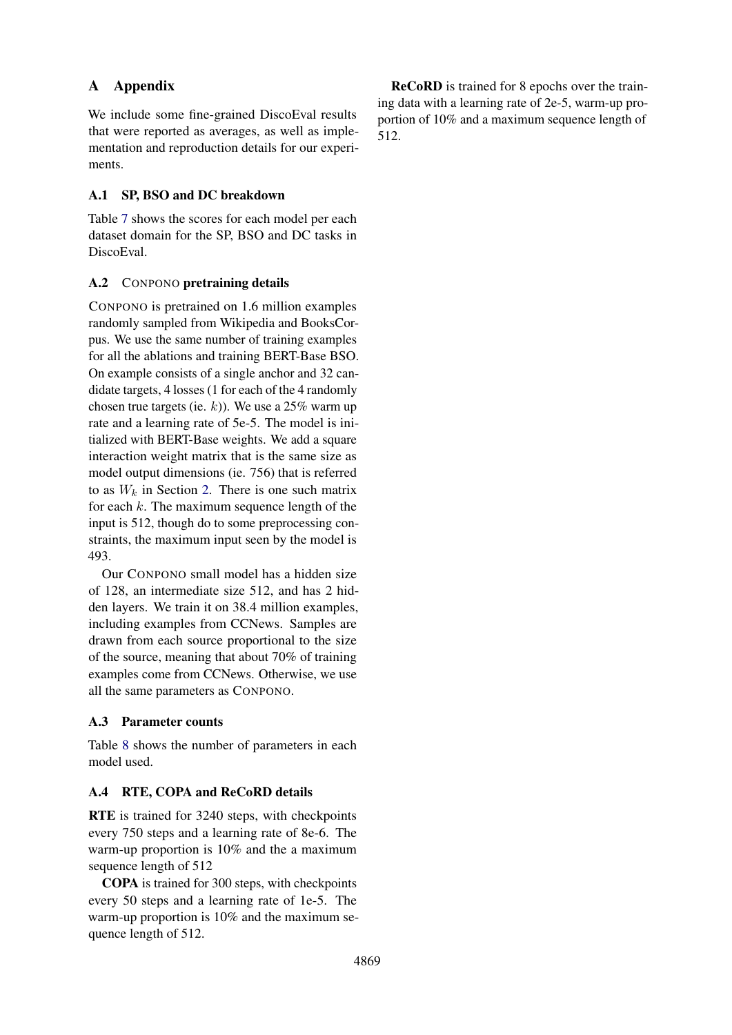## A Appendix

We include some fine-grained DiscoEval results that were reported as averages, as well as implementation and reproduction details for our experiments.

## A.1 SP, BSO and DC breakdown

Table [7](#page-11-0) shows the scores for each model per each dataset domain for the SP, BSO and DC tasks in DiscoEval.

## A.2 CONPONO pretraining details

CONPONO is pretrained on 1.6 million examples randomly sampled from Wikipedia and BooksCorpus. We use the same number of training examples for all the ablations and training BERT-Base BSO. On example consists of a single anchor and 32 candidate targets, 4 losses (1 for each of the 4 randomly chosen true targets (ie. k)). We use a 25% warm up rate and a learning rate of 5e-5. The model is initialized with BERT-Base weights. We add a square interaction weight matrix that is the same size as model output dimensions (ie. 756) that is referred to as  $W_k$  in Section [2.](#page-1-4) There is one such matrix for each  $k$ . The maximum sequence length of the input is 512, though do to some preprocessing constraints, the maximum input seen by the model is 493.

Our CONPONO small model has a hidden size of 128, an intermediate size 512, and has 2 hidden layers. We train it on 38.4 million examples, including examples from CCNews. Samples are drawn from each source proportional to the size of the source, meaning that about 70% of training examples come from CCNews. Otherwise, we use all the same parameters as CONPONO.

## A.3 Parameter counts

Table [8](#page-11-1) shows the number of parameters in each model used.

## A.4 RTE, COPA and ReCoRD details

RTE is trained for 3240 steps, with checkpoints every 750 steps and a learning rate of 8e-6. The warm-up proportion is 10% and the a maximum sequence length of 512

COPA is trained for 300 steps, with checkpoints every 50 steps and a learning rate of 1e-5. The warm-up proportion is 10% and the maximum sequence length of 512.

ReCoRD is trained for 8 epochs over the training data with a learning rate of 2e-5, warm-up proportion of 10% and a maximum sequence length of 512.